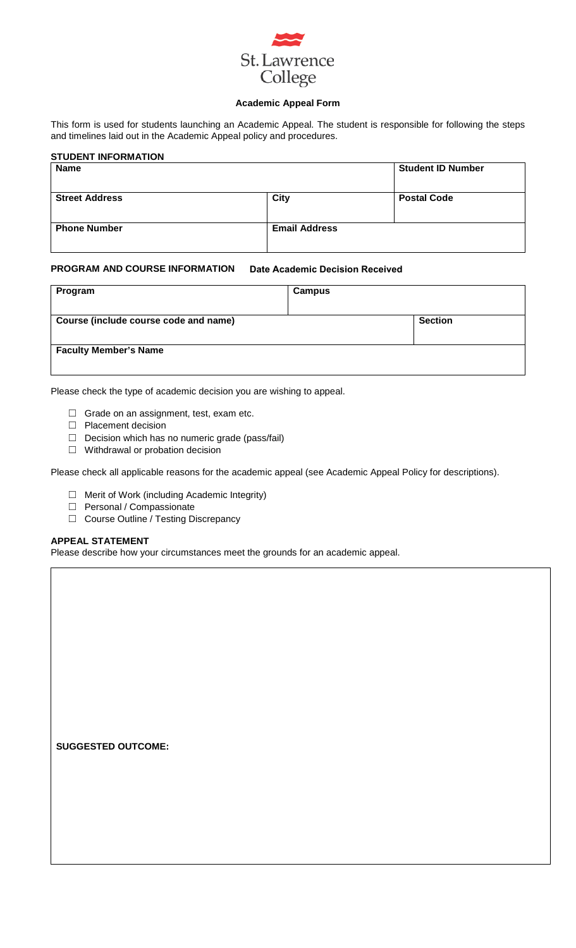

## **Academic Appeal Form**

This form is used for students launching an Academic Appeal. The student is responsible for following the steps and timelines laid out in the Academic Appeal policy and procedures.

| <b>STUDENT INFORMATION</b> |                      |                          |
|----------------------------|----------------------|--------------------------|
| <b>Name</b>                |                      | <b>Student ID Number</b> |
| <b>Street Address</b>      | City                 | <b>Postal Code</b>       |
| <b>Phone Number</b>        | <b>Email Address</b> |                          |

#### **PROGRAM AND COURSE INFORMATION Date Academic Decision Received**

| Program                               | <b>Campus</b> |                |
|---------------------------------------|---------------|----------------|
| Course (include course code and name) |               | <b>Section</b> |
| <b>Faculty Member's Name</b>          |               |                |

Please check the type of academic decision you are wishing to appeal.

- $\Box$  Grade on an assignment, test, exam etc.
- ☐ Placement decision
- □ Decision which has no numeric grade (pass/fail)
- ☐ Withdrawal or probation decision

Please check all applicable reasons for the academic appeal (see Academic Appeal Policy for descriptions).

- ☐ Merit of Work (including Academic Integrity)
- □ Personal / Compassionate
- ☐ Course Outline / Testing Discrepancy

## **APPEAL STATEMENT**

Please describe how your circumstances meet the grounds for an academic appeal.

**SUGGESTED OUTCOME:**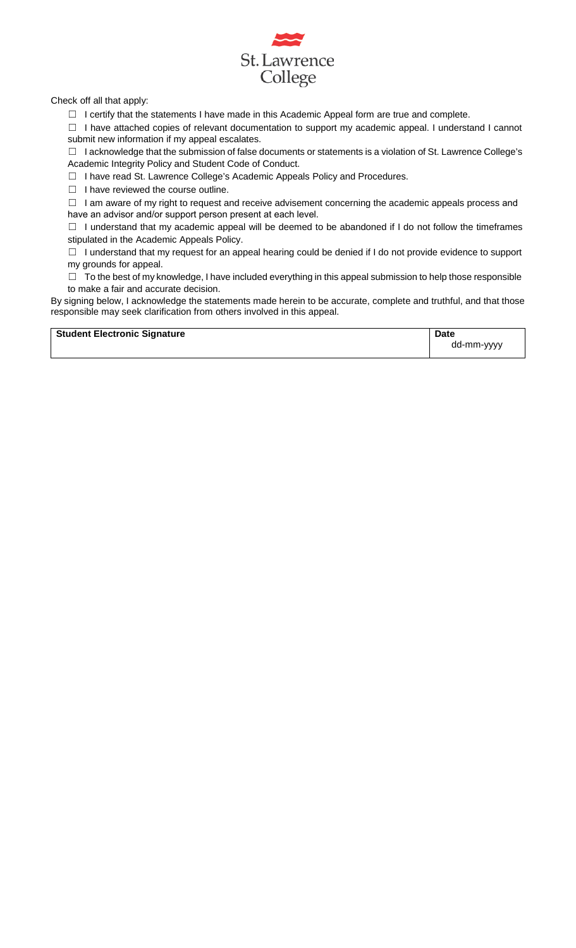

Check off all that apply:

☐ I certify that the statements I have made in this Academic Appeal form are true and complete.

☐ I have attached copies of relevant documentation to support my academic appeal. I understand I cannot submit new information if my appeal escalates.

 $\Box$  I acknowledge that the submission of false documents or statements is a violation of St. Lawrence College's Academic Integrity Policy and Student Code of Conduct.

☐ I have read St. Lawrence College's Academic Appeals Policy and Procedures.

☐ I have reviewed the course outline.

☐ I am aware of my right to request and receive advisement concerning the academic appeals process and have an advisor and/or support person present at each level.

☐ I understand that my academic appeal will be deemed to be abandoned if I do not follow the timeframes stipulated in the Academic Appeals Policy.

☐ I understand that my request for an appeal hearing could be denied if I do not provide evidence to support my grounds for appeal.

 $\Box$  To the best of my knowledge, I have included everything in this appeal submission to help those responsible to make a fair and accurate decision.

By signing below, I acknowledge the statements made herein to be accurate, complete and truthful, and that those responsible may seek clarification from others involved in this appeal.

**Student Electronic Signature Date Date Date** dd-mm-yyyy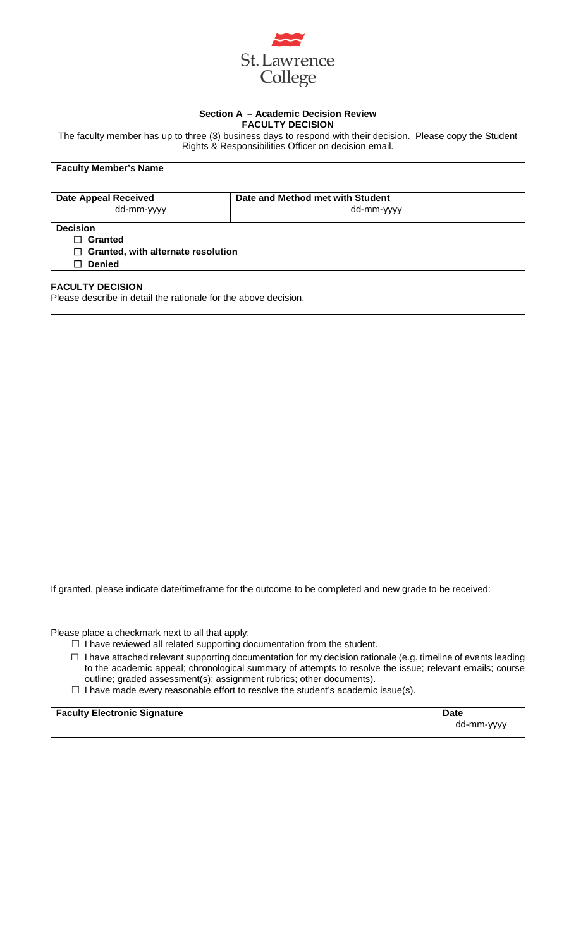

## **Section A – Academic Decision Review FACULTY DECISION**

The faculty member has up to three (3) business days to respond with their decision. Please copy the Student Rights & Responsibilities Officer on decision email.

| <b>Faculty Member's Name</b>                                                                  |                                                |  |
|-----------------------------------------------------------------------------------------------|------------------------------------------------|--|
| <b>Date Appeal Received</b><br>dd-mm-yyyy                                                     | Date and Method met with Student<br>dd-mm-yyyy |  |
| <b>Decision</b><br>Granted<br>П<br>$\Box$ Granted, with alternate resolution<br><b>Denied</b> |                                                |  |

## **FACULTY DECISION**

Please describe in detail the rationale for the above decision.

If granted, please indicate date/timeframe for the outcome to be completed and new grade to be received:

Please place a checkmark next to all that apply:

 $\Box$  I have reviewed all related supporting documentation from the student.

\_\_\_\_\_\_\_\_\_\_\_\_\_\_\_\_\_\_\_\_\_\_\_\_\_\_\_\_\_\_\_\_\_\_\_\_\_\_\_\_\_\_\_\_\_\_\_\_\_\_\_\_\_\_\_\_\_\_\_

- $\Box$  I have attached relevant supporting documentation for my decision rationale (e.g. timeline of events leading to the academic appeal; chronological summary of attempts to resolve the issue; relevant emails; course outline; graded assessment(s); assignment rubrics; other documents).
- $\Box$  I have made every reasonable effort to resolve the student's academic issue(s).

**Faculty Electronic Signature Date Date Date** 

dd-mm-yyyy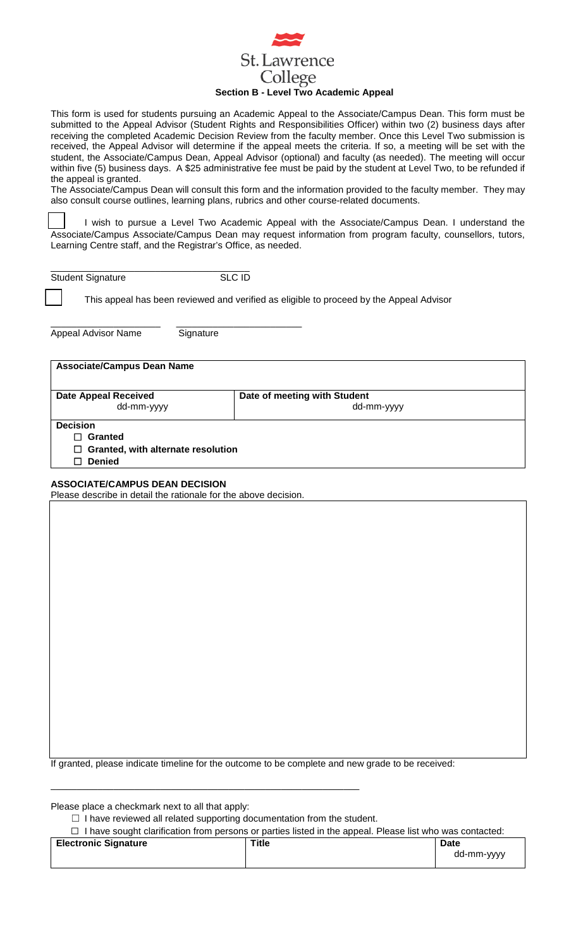

This form is used for students pursuing an Academic Appeal to the Associate/Campus Dean. This form must be submitted to the Appeal Advisor (Student Rights and Responsibilities Officer) within two (2) business days after receiving the completed Academic Decision Review from the faculty member. Once this Level Two submission is received, the Appeal Advisor will determine if the appeal meets the criteria. If so, a meeting will be set with the student, the Associate/Campus Dean, Appeal Advisor (optional) and faculty (as needed). The meeting will occur within five (5) business days. A \$25 administrative fee must be paid by the student at Level Two, to be refunded if the appeal is granted.

The Associate/Campus Dean will consult this form and the information provided to the faculty member. They may also consult course outlines, learning plans, rubrics and other course-related documents.

I wish to pursue a Level Two Academic Appeal with the Associate/Campus Dean. I understand the Associate/Campus Associate/Campus Dean may request information from program faculty, counsellors, tutors, Learning Centre staff, and the Registrar's Office, as needed.

| <b>Student Signature</b> | SLC ID |
|--------------------------|--------|

This appeal has been reviewed and verified as eligible to proceed by the Appeal Advisor

\_\_\_\_\_\_\_\_\_\_\_\_\_\_\_\_\_\_\_\_\_ \_\_\_\_\_\_\_\_\_\_\_\_\_\_\_\_\_\_\_\_\_\_\_\_ Appeal Advisor Name Signature

# **Associate/Campus Dean Name**

| Date of meeting with Student<br>dd-mm-yyyy |
|--------------------------------------------|
|                                            |
|                                            |
|                                            |
| $\Box$ Granted, with alternate resolution  |
|                                            |
|                                            |

# **ASSOCIATE/CAMPUS DEAN DECISION**

Please describe in detail the rationale for the above decision.

If granted, please indicate timeline for the outcome to be complete and new grade to be received:

Please place a checkmark next to all that apply:

□ I have reviewed all related supporting documentation from the student.

\_\_\_\_\_\_\_\_\_\_\_\_\_\_\_\_\_\_\_\_\_\_\_\_\_\_\_\_\_\_\_\_\_\_\_\_\_\_\_\_\_\_\_\_\_\_\_\_\_\_\_\_\_\_\_\_\_\_\_

☐ I have sought clarification from persons or parties listed in the appeal. Please list who was contacted:

| <b>Electronic Signature</b> | Title | <b>Date</b> |
|-----------------------------|-------|-------------|
|                             |       | dd-mm-yyyy  |